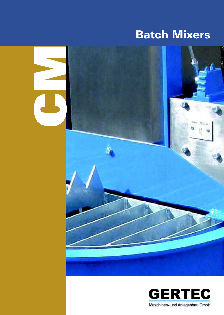# Batch Mixers



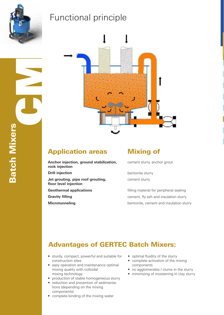

## Functional principle



### Application areas Mixing of

- **Anchor injection, ground stabilization, rock injection**
- 
- **Jet grouting, pipe roof grouting, floor level injection**
- 
- 
- 

cement slurry, anchor grout

**Drill injection** bentonite slurry cement slurry

**Geothermal applications Filling material for peripheral sealing Gravity filling CENSIC CENSIC EXAMPLE 2018** Cement, fly ash and insulation slurry **Microtunneling bentonite, cement and insulation slurry Microtunneling** 

### Advantages of GERTEC Batch Mixers:

- sturdy, compact, powerful and suitable for construction sites
- easy operation and maintenance optimal mixing quality with colloidal mixing technology
- production of stable homogeneous slurry
- reduction and prevention of sedimentations (depending on the mixing components)
- complete binding of the mixing water
- optimal fluidity of the slurry
- complete activation of the mixing components
- no agglomerates / clums in the slurry
- minimizing of moistening in clay slurry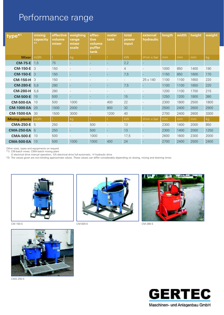# Performance range

| type <sup>*1</sup>   | mixing<br>capacity<br>$*2$ | effective<br>volume<br>mixer | weighing<br>range<br>mixer<br>scale | effec-<br>tive<br>volume<br>puffer<br>tank | water<br>tank            | total<br>power<br>input  | external<br>hydraulic | length | width | height | weight |
|----------------------|----------------------------|------------------------------|-------------------------------------|--------------------------------------------|--------------------------|--------------------------|-----------------------|--------|-------|--------|--------|
| <b>Mixer</b>         | m3/h                       |                              | kg                                  |                                            |                          | kW                       | I/min x bar           | mm     | mm    | mm     | kg     |
| <b>CM-75-E</b>       | 1,5                        | 75                           |                                     |                                            |                          | 2,2                      |                       |        |       |        |        |
| <b>CM-150-E</b>      | $\mathcal{S}$              | 150                          |                                     |                                            |                          | 4                        |                       | 1000   | 850   | 1400   | 190    |
| <b>CM-150-E</b>      | -3                         | 150                          | $\overline{\phantom{a}}$            |                                            | <u>.</u>                 | 7,5                      | $\equiv$              | 1150   | 850   | 1600   | 170    |
| <b>CM-150-H</b>      | 3                          | 150                          | $\overline{\phantom{a}}$            |                                            |                          | $\overline{\phantom{a}}$ | $25 \times 140$       | 1100   | 1100  | 1650   | 220    |
| <b>CM-280-E</b>      | 5,6                        | 280                          | ٠                                   |                                            | $\overline{\phantom{a}}$ | 7,5                      |                       | 1100   | 1100  | 1650   | 220    |
| <b>CM-280-H</b>      | 5,6                        | 280                          |                                     |                                            |                          |                          |                       | 1200   | 1100  | 1700   | 215    |
| <b>CM-500-E</b>      | 10                         | 500                          | $\sim$                              |                                            | $\sim$                   | 15                       | ÷,                    | 1250   | 1200  | 1800   | 380    |
| <b>CM-500-EA</b>     | 10                         | 500                          | 1000                                |                                            | 400                      | 22                       |                       | 2300   | 1800  | 2500   | 1800   |
| <b>CM-1000-EA</b>    | 20                         | 1000                         | 2000                                |                                            | 800                      | 32                       |                       | 2500   | 2400  | 2600   | 2900   |
| <b>CM-1500-EA</b>    | 30                         | 1500                         | 3000                                |                                            | 1200                     | 40                       |                       | 2700   | 2400  | 2600   | 3300   |
| <b>Mixing plants</b> | m3/h                       |                              | kg                                  |                                            |                          | kW                       | $l/min \times bar$    | mm     | mm    | mm     | kg     |
| <b>CMA-250-E</b> 5   |                            | 250                          | $\overline{\phantom{a}}$            | 500                                        |                          | 13                       |                       | 2300   | 1400  | 2000   | 850    |
| <b>CMA-250-EA</b> 5  |                            | 250                          | ٠                                   | 500                                        | $\sim$                   | 13                       |                       | 2300   | 1400  | 2000   | 1250   |
| <b>CMA-500-E</b>     | 10                         | 500                          |                                     | 1000                                       |                          | 17,5                     |                       | 2600   | 1600  | 2300   | 2000   |
| <b>CMA-500-EA</b>    | 10                         | 500                          | 1000                                | 1000                                       | 400                      | 24                       |                       | 2700   | 2400  | 2500   | 2400   |

Other sizes, types and equipments on request

\*1) CM-batch mixer; CMA-batch mixing plant

-E electrical drive manual operation; -EA electrical drive full-automatic; -H hydraulic drive

\*2) The values given are non-binding approximate values. These values can differ considerably depending on dosing, mixing and draining times.



CM-150-E



CM-500-E CM-280-E





CMA-250-E